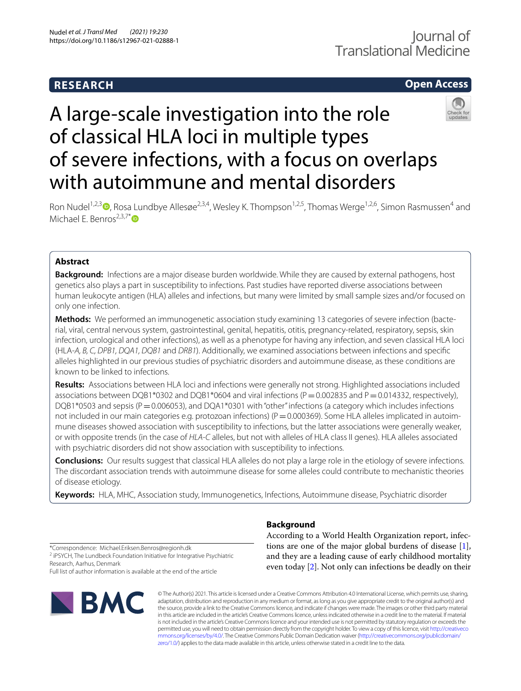# **RESEARCH**

# **Open Access**

# A large-scale investigation into the role of classical HLA loci in multiple types of severe infections, with a focus on overlaps with autoimmune and mental disorders



Ron Nudel<sup>1,2,3</sup> **D**[,](http://orcid.org/0000-0003-2309-011X) Rosa Lundbye Allesøe<sup>2,3,4</sup>, Wesley K. Thompson<sup>1,2,5</sup>, Thomas Werge<sup>1,2,6</sup>, Simon Rasmussen<sup>4</sup> and Michael F. Benros<sup>2,3,7[\\*](http://orcid.org/0000-0003-4939-9465)</sup> $\bullet$ 

# **Abstract**

**Background:** Infections are a major disease burden worldwide. While they are caused by external pathogens, host genetics also plays a part in susceptibility to infections. Past studies have reported diverse associations between human leukocyte antigen (HLA) alleles and infections, but many were limited by small sample sizes and/or focused on only one infection.

**Methods:** We performed an immunogenetic association study examining 13 categories of severe infection (bacterial, viral, central nervous system, gastrointestinal, genital, hepatitis, otitis, pregnancy-related, respiratory, sepsis, skin infection, urological and other infections), as well as a phenotype for having any infection, and seven classical HLA loci (HLA-*A, B, C, DPB1, DQA1, DQB1* and *DRB1*). Additionally, we examined associations between infections and specifc alleles highlighted in our previous studies of psychiatric disorders and autoimmune disease, as these conditions are known to be linked to infections.

**Results:** Associations between HLA loci and infections were generally not strong. Highlighted associations included associations between DQB1\*0302 and DQB1\*0604 and viral infections (P=0.002835 and P=0.014332, respectively), DQB1\*0503 and sepsis (P = 0.006053), and DQA1\*0301 with "other" infections (a category which includes infections not included in our main categories e.g. protozoan infections) ( $P=0.000369$ ). Some HLA alleles implicated in autoimmune diseases showed association with susceptibility to infections, but the latter associations were generally weaker, or with opposite trends (in the case of *HLA-C* alleles, but not with alleles of HLA class II genes). HLA alleles associated with psychiatric disorders did not show association with susceptibility to infections.

**Conclusions:** Our results suggest that classical HLA alleles do not play a large role in the etiology of severe infections. The discordant association trends with autoimmune disease for some alleles could contribute to mechanistic theories of disease etiology.

**Keywords:** HLA, MHC, Association study, Immunogenetics, Infections, Autoimmune disease, Psychiatric disorder

<span id="page-0-0"></span>**Background**

According to a World Health Organization report, infections are one of the major global burdens of disease [\[1](#page-9-0)], and they are a leading cause of early childhood mortality even today [\[2](#page-9-1)]. Not only can infections be deadly on their

\*Correspondence: Michael.Eriksen.Benros@regionh.dk

<sup>2</sup> iPSYCH, The Lundbeck Foundation Initiative for Integrative Psychiatric Research, Aarhus, Denmark

Full list of author information is available at the end of the article



© The Author(s) 2021. This article is licensed under a Creative Commons Attribution 4.0 International License, which permits use, sharing, adaptation, distribution and reproduction in any medium or format, as long as you give appropriate credit to the original author(s) and the source, provide a link to the Creative Commons licence, and indicate if changes were made. The images or other third party material in this article are included in the article's Creative Commons licence, unless indicated otherwise in a credit line to the material. If material is not included in the article's Creative Commons licence and your intended use is not permitted by statutory regulation or exceeds the permitted use, you will need to obtain permission directly from the copyright holder. To view a copy of this licence, visit [http://creativeco](http://creativecommons.org/licenses/by/4.0/) [mmons.org/licenses/by/4.0/.](http://creativecommons.org/licenses/by/4.0/) The Creative Commons Public Domain Dedication waiver ([http://creativecommons.org/publicdomain/](http://creativecommons.org/publicdomain/zero/1.0/) [zero/1.0/\)](http://creativecommons.org/publicdomain/zero/1.0/) applies to the data made available in this article, unless otherwise stated in a credit line to the data.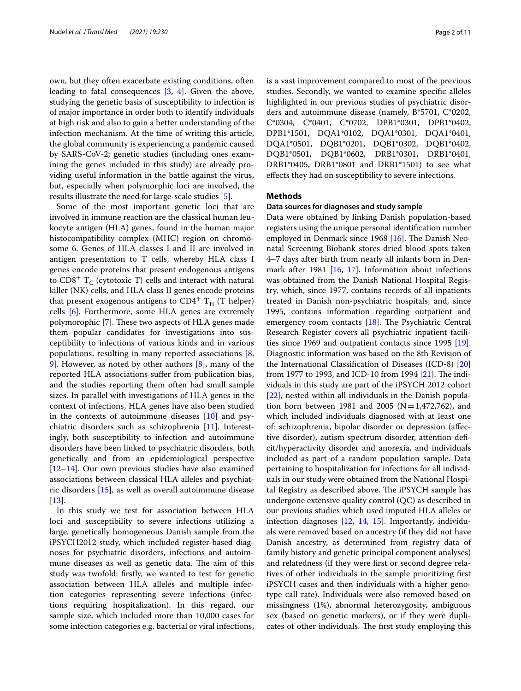own, but they often exacerbate existing conditions, often leading to fatal consequences  $[3, 4]$  $[3, 4]$  $[3, 4]$  $[3, 4]$ . Given the above, studying the genetic basis of susceptibility to infection is of major importance in order both to identify individuals at high risk and also to gain a better understanding of the infection mechanism. At the time of writing this article, the global community is experiencing a pandemic caused by SARS-CoV-2; genetic studies (including ones examining the genes included in this study) are already providing useful information in the battle against the virus, but, especially when polymorphic loci are involved, the results illustrate the need for large-scale studies [[5\]](#page-9-4).

Some of the most important genetic loci that are involved in immune reaction are the classical human leukocyte antigen (HLA) genes, found in the human major histocompatibility complex (MHC) region on chromosome 6. Genes of HLA classes I and II are involved in antigen presentation to T cells, whereby HLA class I genes encode proteins that present endogenous antigens to  $CD8^+$  T<sub>c</sub> (cytotoxic T) cells and interact with natural killer (NK) cells, and HLA class II genes encode proteins that present exogenous antigens to  $CD4^+$  T<sub>H</sub> (T helper) cells [[6\]](#page-9-5). Furthermore, some HLA genes are extremely polymorophic [[7\]](#page-9-6). These two aspects of HLA genes made them popular candidates for investigations into susceptibility to infections of various kinds and in various populations, resulting in many reported associations [\[8](#page-9-7), [9\]](#page-9-8). However, as noted by other authors [[8\]](#page-9-7), many of the reported HLA associations sufer from publication bias, and the studies reporting them often had small sample sizes. In parallel with investigations of HLA genes in the context of infections, HLA genes have also been studied in the contexts of autoimmune diseases [[10\]](#page-9-9) and psychiatric disorders such as schizophrenia [[11\]](#page-9-10). Interestingly, both susceptibility to infection and autoimmune disorders have been linked to psychiatric disorders, both genetically and from an epidemiological perspective [[12–](#page-9-11)[14](#page-9-12)]. Our own previous studies have also examined associations between classical HLA alleles and psychiatric disorders [[15\]](#page-9-13), as well as overall autoimmune disease [[13\]](#page-9-14).

In this study we test for association between HLA loci and susceptibility to severe infections utilizing a large, genetically homogeneous Danish sample from the iPSYCH2012 study, which included register-based diagnoses for psychiatric disorders, infections and autoimmune diseases as well as genetic data. The aim of this study was twofold: frstly, we wanted to test for genetic association between HLA alleles and multiple infection categories representing severe infections (infections requiring hospitalization). In this regard, our sample size, which included more than 10,000 cases for some infection categories e.g. bacterial or viral infections,

is a vast improvement compared to most of the previous studies. Secondly, we wanted to examine specifc alleles highlighted in our previous studies of psychiatric disorders and autoimmune disease (namely, B\*5701, C\*0202, C\*0304, C\*0401, C\*0702, DPB1\*0301, DPB1\*0402, DPB1\*1501, DQA1\*0102, DQA1\*0301, DQA1\*0401, DQA1\*0501, DQB1\*0201, DQB1\*0302, DQB1\*0402, DQB1\*0501, DQB1\*0602, DRB1\*0301, DRB1\*0401, DRB1\*0405, DRB1\*0801 and DRB1\*1501) to see what efects they had on susceptibility to severe infections.

# **Methods**

# **Data sources for diagnoses and study sample**

Data were obtained by linking Danish population-based registers using the unique personal identifcation number employed in Denmark since 1968 [\[16](#page-9-15)]. The Danish Neonatal Screening Biobank stores dried blood spots taken 4–7 days after birth from nearly all infants born in Denmark after 1981 [[16,](#page-9-15) [17\]](#page-9-16). Information about infections was obtained from the Danish National Hospital Registry, which, since 1977, contains records of all inpatients treated in Danish non-psychiatric hospitals, and, since 1995, contains information regarding outpatient and emergency room contacts  $[18]$  $[18]$ . The Psychiatric Central Research Register covers all psychiatric inpatient facilities since 1969 and outpatient contacts since 1995 [\[19](#page-9-18)]. Diagnostic information was based on the 8th Revision of the International Classifcation of Diseases (ICD-8) [[20](#page-9-19)] from 1977 to 1993, and ICD-10 from 1994  $[21]$  $[21]$ . The individuals in this study are part of the iPSYCH 2012 cohort [[22\]](#page-9-21), nested within all individuals in the Danish population born between 1981 and 2005 ( $N=1,472,762$ ), and which included individuals diagnosed with at least one of: schizophrenia, bipolar disorder or depression (afective disorder), autism spectrum disorder, attention defcit/hyperactivity disorder and anorexia, and individuals included as part of a random population sample. Data pertaining to hospitalization for infections for all individuals in our study were obtained from the National Hospital Registry as described above. The iPSYCH sample has undergone extensive quality control (QC) as described in our previous studies which used imputed HLA alleles or infection diagnoses [\[12](#page-9-11), [14,](#page-9-12) [15\]](#page-9-13). Importantly, individuals were removed based on ancestry (if they did not have Danish ancestry, as determined from registry data of family history and genetic principal component analyses) and relatedness (if they were frst or second degree relatives of other individuals in the sample prioritizing frst iPSYCH cases and then individuals with a higher genotype call rate). Individuals were also removed based on missingness (1%), abnormal heterozygosity, ambiguous sex (based on genetic markers), or if they were duplicates of other individuals. The first study employing this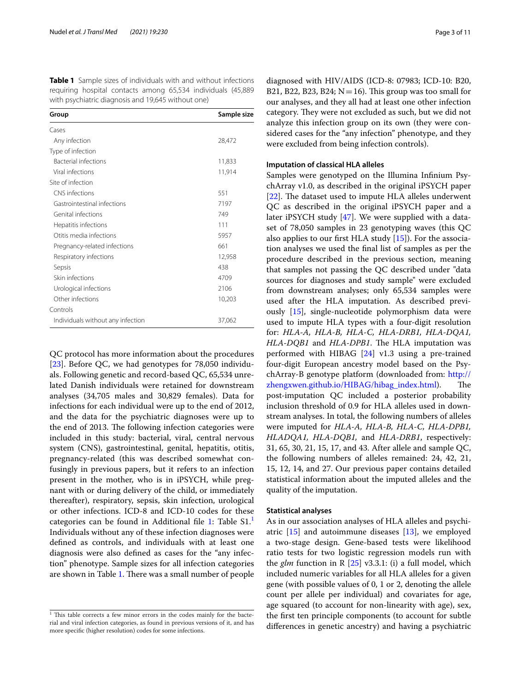<span id="page-2-1"></span>**Table 1** Sample sizes of individuals with and without infections requiring hospital contacts among 65,534 individuals (45,889 with psychiatric diagnosis and 19,645 without one)

| Group                             | Sample size |
|-----------------------------------|-------------|
| Cases                             |             |
| Any infection                     | 28,472      |
| Type of infection                 |             |
| <b>Bacterial infections</b>       | 11,833      |
| Viral infections                  | 11,914      |
| Site of infection                 |             |
| CNS infections                    | 551         |
| Gastrointestinal infections       | 7197        |
| Genital infections                | 749         |
| Hepatitis infections              | 111         |
| Otitis media infections           | 5957        |
| Pregnancy-related infections      | 661         |
| Respiratory infections            | 12,958      |
| Sepsis                            | 438         |
| Skin infections                   | 4709        |
| Urological infections             | 2106        |
| Other infections                  | 10,203      |
| Controls                          |             |
| Individuals without any infection | 37,062      |

QC protocol has more information about the procedures [[23\]](#page-9-22). Before QC, we had genotypes for 78,050 individuals. Following genetic and record-based QC, 65,534 unrelated Danish individuals were retained for downstream analyses (34,705 males and 30,829 females). Data for infections for each individual were up to the end of 2012, and the data for the psychiatric diagnoses were up to the end of 2013. The following infection categories were included in this study: bacterial, viral, central nervous system (CNS), gastrointestinal, genital, hepatitis, otitis, pregnancy-related (this was described somewhat confusingly in previous papers, but it refers to an infection present in the mother, who is in iPSYCH, while pregnant with or during delivery of the child, or immediately thereafter), respiratory, sepsis, skin infection, urological or other infections. ICD-8 and ICD-10 codes for these categories can be found in Additional file [1:](#page-8-0) Table S[1](#page-2-0).<sup>1</sup> Individuals without any of these infection diagnoses were defned as controls, and individuals with at least one diagnosis were also defned as cases for the "any infection" phenotype. Sample sizes for all infection categories are shown in Table [1](#page-2-1). There was a small number of people

diagnosed with HIV/AIDS (ICD-8: 07983; ICD-10: B20, B21, B22, B23, B24;  $N=16$ ). This group was too small for our analyses, and they all had at least one other infection category. They were not excluded as such, but we did not analyze this infection group on its own (they were considered cases for the "any infection" phenotype, and they were excluded from being infection controls).

## **Imputation of classical HLA alleles**

Samples were genotyped on the Illumina Infnium PsychArray v1.0, as described in the original iPSYCH paper [ $22$ ]. The dataset used to impute HLA alleles underwent QC as described in the original iPSYCH paper and a later iPSYCH study [[47\]](#page-10-0). We were supplied with a dataset of 78,050 samples in 23 genotyping waves (this QC also applies to our frst HLA study [\[15](#page-9-13)]). For the association analyses we used the fnal list of samples as per the procedure described in the previous section, meaning that samples not passing the QC described under "data sources for diagnoses and study sample" were excluded from downstream analyses; only 65,534 samples were used after the HLA imputation. As described previously [[15](#page-9-13)], single-nucleotide polymorphism data were used to impute HLA types with a four-digit resolution for: *HLA-A, HLA-B, HLA-C, HLA-DRB1, HLA-DQA1, HLA-DQB1* and *HLA-DPB1*. The HLA imputation was performed with HIBAG  $[24]$  $[24]$  v1.3 using a pre-trained four-digit European ancestry model based on the PsychArray-B genotype platform (downloaded from: [http://](http://zhengxwen.github.io/HIBAG/hibag_index.html) [zhengxwen.github.io/HIBAG/hibag\\_index.html](http://zhengxwen.github.io/HIBAG/hibag_index.html)). The post-imputation QC included a posterior probability inclusion threshold of 0.9 for HLA alleles used in downstream analyses. In total, the following numbers of alleles were imputed for *HLA-A, HLA-B, HLA-C, HLA-DPB1, HLADQA1, HLA-DQB1,* and *HLA-DRB1*, respectively: 31, 65, 30, 21, 15, 17, and 43. After allele and sample QC, the following numbers of alleles remained: 24, 42, 21, 15, 12, 14, and 27. Our previous paper contains detailed statistical information about the imputed alleles and the quality of the imputation.

## **Statistical analyses**

As in our association analyses of HLA alleles and psychiatric [[15](#page-9-13)] and autoimmune diseases [[13\]](#page-9-14), we employed a two-stage design. Gene-based tests were likelihood ratio tests for two logistic regression models run with the *glm* function in R [[25\]](#page-9-24) v3.3.1: (i) a full model, which included numeric variables for all HLA alleles for a given gene (with possible values of 0, 1 or 2, denoting the allele count per allele per individual) and covariates for age, age squared (to account for non-linearity with age), sex, the frst ten principle components (to account for subtle diferences in genetic ancestry) and having a psychiatric

<span id="page-2-0"></span> $1$  This table corrects a few minor errors in the codes mainly for the bacterial and viral infection categories, as found in previous versions of it, and has more specifc (higher resolution) codes for some infections.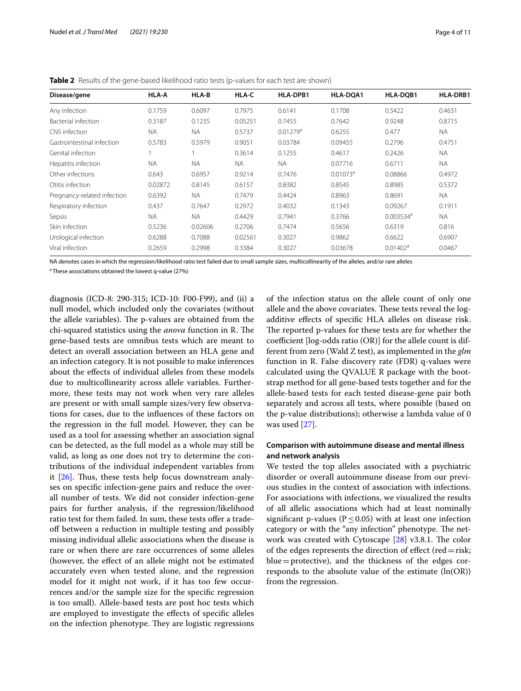| Disease/gene                | <b>HLA-A</b> | HLA-B     | HLA-C     | HLA-DPB1             | HLA-DQA1    | HLA-DQB1             | <b>HLA-DRB1</b> |
|-----------------------------|--------------|-----------|-----------|----------------------|-------------|----------------------|-----------------|
| Any infection               | 0.1759       | 0.6097    | 0.7975    | 0.6141               | 0.1708      | 0.5422               | 0.4631          |
| Bacterial infection         | 0.3187       | 0.1235    | 0.05251   | 0.7455               | 0.7642      | 0.9248               | 0.8715          |
| CNS infection               | <b>NA</b>    | <b>NA</b> | 0.5737    | 0.01279 <sup>a</sup> | 0.6255      | 0.477                | <b>NA</b>       |
| Gastrointestinal infection  | 0.5783       | 0.5979    | 0.9051    | 0.03784              | 0.09455     | 0.2796               | 0.4751          |
| Genital infection           |              |           | 0.3614    | 0.1255               | 0.4617      | 0.2426               | <b>NA</b>       |
| Hepatitis infection         | <b>NA</b>    | <b>NA</b> | <b>NA</b> | <b>NA</b>            | 0.07716     | 0.6711               | <b>NA</b>       |
| Other infections            | 0.643        | 0.6957    | 0.9214    | 0.7476               | $0.01073^a$ | 0.08866              | 0.4972          |
| Otitis infection            | 0.02872      | 0.8145    | 0.6157    | 0.8382               | 0.8545      | 0.8985               | 0.5372          |
| Pregnancy-related infection | 0.6392       | <b>NA</b> | 0.7479    | 0.4424               | 0.8963      | 0.8691               | <b>NA</b>       |
| Respiratory infection       | 0.437        | 0.7647    | 0.2972    | 0.4032               | 0.1343      | 0.09267              | 0.1911          |
| Sepsis                      | <b>NA</b>    | <b>NA</b> | 0.4429    | 0.7941               | 0.3766      | $0.003534^a$         | <b>NA</b>       |
| Skin infection              | 0.5236       | 0.02606   | 0.2706    | 0.7474               | 0.5656      | 0.6319               | 0.816           |
| Urological infection        | 0.6288       | 0.7088    | 0.02561   | 0.3027               | 0.9862      | 0.6622               | 0.6907          |
| Viral infection             | 0.2659       | 0.2998    | 0.3384    | 0.3027               | 0.03678     | 0.01402 <sup>a</sup> | 0.0467          |

<span id="page-3-0"></span>**Table 2** Results of the gene-based likelihood ratio tests (p-values for each test are shown)

NA denotes cases in which the regression/likelihood ratio test failed due to small sample sizes, multicollinearity of the alleles, and/or rare alleles

<sup>a</sup> These associations obtained the lowest q-value (27%)

diagnosis (ICD-8: 290-315; ICD-10: F00-F99), and (ii) a null model, which included only the covariates (without the allele variables). The p-values are obtained from the chi-squared statistics using the *anova* function in R. The gene-based tests are omnibus tests which are meant to detect an overall association between an HLA gene and an infection category. It is not possible to make inferences about the efects of individual alleles from these models due to multicollinearity across allele variables. Furthermore, these tests may not work when very rare alleles are present or with small sample sizes/very few observations for cases, due to the infuences of these factors on the regression in the full model. However, they can be used as a tool for assessing whether an association signal can be detected, as the full model as a whole may still be valid, as long as one does not try to determine the contributions of the individual independent variables from it  $[26]$  $[26]$ . Thus, these tests help focus downstream analyses on specifc infection-gene pairs and reduce the overall number of tests. We did not consider infection-gene pairs for further analysis, if the regression/likelihood ratio test for them failed. In sum, these tests offer a tradeof between a reduction in multiple testing and possibly missing individual allelic associations when the disease is rare or when there are rare occurrences of some alleles (however, the efect of an allele might not be estimated accurately even when tested alone, and the regression model for it might not work, if it has too few occurrences and/or the sample size for the specifc regression is too small). Allele-based tests are post hoc tests which are employed to investigate the efects of specifc alleles on the infection phenotype. They are logistic regressions of the infection status on the allele count of only one allele and the above covariates. These tests reveal the logadditive efects of specifc HLA alleles on disease risk. The reported p-values for these tests are for whether the coefficient  $[log-odds$  ratio  $(OR)]$  for the allele count is different from zero (Wald Z test), as implemented in the *glm* function in R. False discovery rate (FDR) q-values were calculated using the QVALUE R package with the bootstrap method for all gene-based tests together and for the allele-based tests for each tested disease-gene pair both separately and across all tests, where possible (based on the p-value distributions); otherwise a lambda value of 0 was used [\[27\]](#page-9-26).

# **Comparison with autoimmune disease and mental illness and network analysis**

We tested the top alleles associated with a psychiatric disorder or overall autoimmune disease from our previous studies in the context of association with infections. For associations with infections, we visualized the results of all allelic associations which had at least nominally significant p-values ( $P \le 0.05$ ) with at least one infection category or with the "any infection" phenotype. The network was created with Cytoscape  $[28]$  $[28]$  v3.8.1. The color of the edges represents the direction of effect (red = risk;  $blue =$  protective), and the thickness of the edges corresponds to the absolute value of the estimate (ln(OR)) from the regression.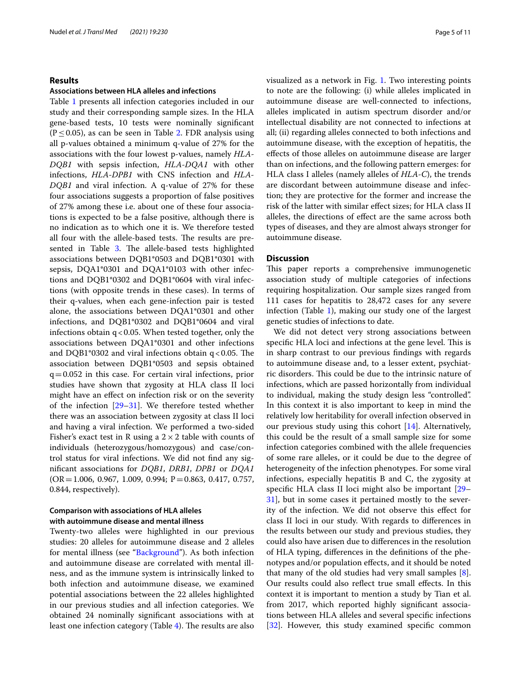# **Results**

## **Associations between HLA alleles and infections**

Table [1](#page-2-1) presents all infection categories included in our study and their corresponding sample sizes. In the HLA gene-based tests, 10 tests were nominally signifcant  $(P < 0.05)$ , as can be seen in Table [2](#page-3-0). FDR analysis using all p-values obtained a minimum q-value of 27% for the associations with the four lowest p-values, namely *HLA-DQB1* with sepsis infection, *HLA-DQA1* with other infections, *HLA-DPB1* with CNS infection and *HLA-DQB1* and viral infection. A q-value of 27% for these four associations suggests a proportion of false positives of 27% among these i.e. about one of these four associations is expected to be a false positive, although there is no indication as to which one it is. We therefore tested all four with the allele-based tests. The results are pre-sented in Table [3](#page-5-0). The allele-based tests highlighted associations between DQB1\*0503 and DQB1\*0301 with sepsis, DQA1\*0301 and DQA1\*0103 with other infections and DQB1\*0302 and DQB1\*0604 with viral infections (with opposite trends in these cases). In terms of their q-values, when each gene-infection pair is tested alone, the associations between DQA1\*0301 and other infections, and DQB1\*0302 and DQB1\*0604 and viral infections obtain  $q$  < 0.05. When tested together, only the associations between DQA1\*0301 and other infections and DQB1\*0302 and viral infections obtain  $q < 0.05$ . The association between DQB1\*0503 and sepsis obtained  $q=0.052$  in this case. For certain viral infections, prior studies have shown that zygosity at HLA class II loci might have an efect on infection risk or on the severity of the infection [[29](#page-9-28)[–31](#page-9-29)]. We therefore tested whether there was an association between zygosity at class II loci and having a viral infection. We performed a two-sided Fisher's exact test in R using a  $2 \times 2$  table with counts of individuals (heterozygous/homozygous) and case/control status for viral infections. We did not fnd any signifcant associations for *DQB1*, *DRB1*, *DPB1* or *DQA1*  $(OR = 1.006, 0.967, 1.009, 0.994; P = 0.863, 0.417, 0.757,$ 0.844, respectively).

# **Comparison with associations of HLA alleles with autoimmune disease and mental illness**

Twenty-two alleles were highlighted in our previous studies: 20 alleles for autoimmune disease and 2 alleles for mental illness (see ["Background"](#page-0-0)). As both infection and autoimmune disease are correlated with mental illness, and as the immune system is intrinsically linked to both infection and autoimmune disease, we examined potential associations between the 22 alleles highlighted in our previous studies and all infection categories. We obtained 24 nominally signifcant associations with at least one infection category (Table  $4$ ). The results are also visualized as a network in Fig. [1](#page-7-0). Two interesting points to note are the following: (i) while alleles implicated in autoimmune disease are well-connected to infections, alleles implicated in autism spectrum disorder and/or intellectual disability are not connected to infections at all; (ii) regarding alleles connected to both infections and autoimmune disease, with the exception of hepatitis, the efects of those alleles on autoimmune disease are larger than on infections, and the following pattern emerges: for HLA class I alleles (namely alleles of *HLA-C*), the trends are discordant between autoimmune disease and infection; they are protective for the former and increase the risk of the latter with similar efect sizes; for HLA class II alleles, the directions of efect are the same across both types of diseases, and they are almost always stronger for autoimmune disease.

# **Discussion**

This paper reports a comprehensive immunogenetic association study of multiple categories of infections requiring hospitalization. Our sample sizes ranged from 111 cases for hepatitis to 28,472 cases for any severe infection (Table [1\)](#page-2-1), making our study one of the largest genetic studies of infections to date.

We did not detect very strong associations between specific HLA loci and infections at the gene level. This is in sharp contrast to our previous fndings with regards to autoimmune disease and, to a lesser extent, psychiatric disorders. This could be due to the intrinsic nature of infections, which are passed horizontally from individual to individual, making the study design less "controlled". In this context it is also important to keep in mind the relatively low heritability for overall infection observed in our previous study using this cohort [\[14](#page-9-12)]. Alternatively, this could be the result of a small sample size for some infection categories combined with the allele frequencies of some rare alleles, or it could be due to the degree of heterogeneity of the infection phenotypes. For some viral infections, especially hepatitis B and C, the zygosity at specifc HLA class II loci might also be important [[29–](#page-9-28) [31\]](#page-9-29), but in some cases it pertained mostly to the severity of the infection. We did not observe this efect for class II loci in our study. With regards to diferences in the results between our study and previous studies, they could also have arisen due to diferences in the resolution of HLA typing, diferences in the defnitions of the phenotypes and/or population efects, and it should be noted that many of the old studies had very small samples  $[8]$  $[8]$ . Our results could also refect true small efects. In this context it is important to mention a study by Tian et al. from 2017, which reported highly signifcant associations between HLA alleles and several specifc infections [[32\]](#page-10-1). However, this study examined specific common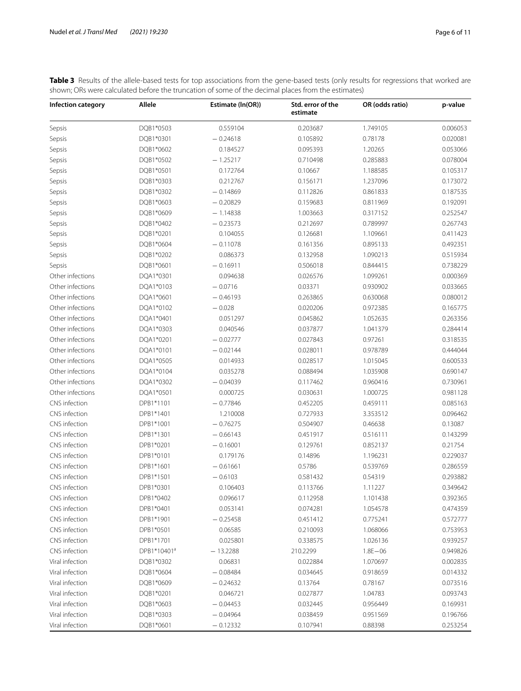| Infection category | Allele      | calculated before the trancation of Johne of the accimal places hometric estimates)<br>Estimate (In(OR)) | Std. error of the<br>estimate | OR (odds ratio) | p-value  |
|--------------------|-------------|----------------------------------------------------------------------------------------------------------|-------------------------------|-----------------|----------|
| Sepsis             | DQB1*0503   | 0.559104                                                                                                 | 0.203687                      | 1.749105        | 0.006053 |
| Sepsis             | DQB1*0301   | $-0.24618$                                                                                               | 0.105892                      | 0.78178         | 0.020081 |
| Sepsis             | DQB1*0602   | 0.184527                                                                                                 | 0.095393                      | 1.20265         | 0.053066 |
| Sepsis             | DQB1*0502   | $-1.25217$                                                                                               | 0.710498                      | 0.285883        | 0.078004 |
| Sepsis             | DQB1*0501   | 0.172764                                                                                                 | 0.10667                       | 1.188585        | 0.105317 |
| Sepsis             | DQB1*0303   | 0.212767                                                                                                 | 0.156171                      | 1.237096        | 0.173072 |
| Sepsis             | DQB1*0302   | $-0.14869$                                                                                               | 0.112826                      | 0.861833        | 0.187535 |
| Sepsis             | DQB1*0603   | $-0.20829$                                                                                               | 0.159683                      | 0.811969        | 0.192091 |
| Sepsis             | DQB1*0609   | $-1.14838$                                                                                               | 1.003663                      | 0.317152        | 0.252547 |
| Sepsis             | DQB1*0402   | $-0.23573$                                                                                               | 0.212697                      | 0.789997        | 0.267743 |
| Sepsis             | DQB1*0201   | 0.104055                                                                                                 | 0.126681                      | 1.109661        | 0.411423 |
| Sepsis             | DQB1*0604   | $-0.11078$                                                                                               | 0.161356                      | 0.895133        | 0.492351 |
| Sepsis             | DQB1*0202   | 0.086373                                                                                                 | 0.132958                      | 1.090213        | 0.515934 |
| Sepsis             | DQB1*0601   | $-0.16911$                                                                                               | 0.506018                      | 0.844415        | 0.738229 |
| Other infections   | DQA1*0301   | 0.094638                                                                                                 | 0.026576                      | 1.099261        | 0.000369 |
| Other infections   | DQA1*0103   | $-0.0716$                                                                                                | 0.03371                       | 0.930902        | 0.033665 |
| Other infections   | DQA1*0601   | $-0.46193$                                                                                               | 0.263865                      | 0.630068        | 0.080012 |
| Other infections   | DQA1*0102   | $-0.028$                                                                                                 | 0.020206                      | 0.972385        | 0.165775 |
| Other infections   | DQA1*0401   | 0.051297                                                                                                 | 0.045862                      | 1.052635        | 0.263356 |
| Other infections   | DQA1*0303   | 0.040546                                                                                                 | 0.037877                      | 1.041379        | 0.284414 |
| Other infections   | DQA1*0201   | $-0.02777$                                                                                               | 0.027843                      | 0.97261         | 0.318535 |
| Other infections   | DQA1*0101   | $-0.02144$                                                                                               | 0.028011                      | 0.978789        | 0.444044 |
| Other infections   | DQA1*0505   | 0.014933                                                                                                 | 0.028517                      | 1.015045        | 0.600533 |
| Other infections   | DQA1*0104   | 0.035278                                                                                                 | 0.088494                      | 1.035908        | 0.690147 |
| Other infections   | DQA1*0302   | $-0.04039$                                                                                               | 0.117462                      | 0.960416        | 0.730961 |
| Other infections   | DQA1*0501   | 0.000725                                                                                                 | 0.030631                      | 1.000725        | 0.981128 |
| CNS infection      | DPB1*1101   | $-0.77846$                                                                                               | 0.452205                      | 0.459111        | 0.085163 |
| CNS infection      | DPB1*1401   | 1.210008                                                                                                 | 0.727933                      | 3.353512        | 0.096462 |
| CNS infection      | DPB1*1001   | $-0.76275$                                                                                               | 0.504907                      | 0.46638         | 0.13087  |
| CNS infection      | DPB1*1301   | $-0.66143$                                                                                               | 0.451917                      | 0.516111        | 0.143299 |
| CNS infection      | DPB1*0201   | $-0.16001$                                                                                               | 0.129761                      | 0.852137        | 0.21754  |
| CNS infection      | DPB1*0101   | 0.179176                                                                                                 | 0.14896                       | 1.196231        | 0.229037 |
| CNS infection      | DPB1*1601   | $-0.61661$                                                                                               | 0.5786                        | 0.539769        | 0.286559 |
| CNS infection      | DPB1*1501   | $-0.6103$                                                                                                | 0.581432                      | 0.54319         | 0.293882 |
| CNS infection      | DPB1*0301   | 0.106403                                                                                                 | 0.113766                      | 1.11227         | 0.349642 |
| CNS infection      | DPB1*0402   | 0.096617                                                                                                 | 0.112958                      | 1.101438        | 0.392365 |
| CNS infection      | DPB1*0401   | 0.053141                                                                                                 | 0.074281                      | 1.054578        | 0.474359 |
| CNS infection      | DPB1*1901   | $-0.25458$                                                                                               | 0.451412                      | 0.775241        | 0.572777 |
| CNS infection      | DPB1*0501   | 0.06585                                                                                                  | 0.210093                      | 1.068066        | 0.753953 |
| CNS infection      | DPB1*1701   | 0.025801                                                                                                 | 0.338575                      | 1.026136        | 0.939257 |
| CNS infection      | DPB1*10401ª | $-13.2288$                                                                                               | 210.2299                      | $1.8E - 06$     | 0.949826 |
| Viral infection    | DQB1*0302   | 0.06831                                                                                                  | 0.022884                      | 1.070697        | 0.002835 |
| Viral infection    | DQB1*0604   | $-0.08484$                                                                                               | 0.034645                      | 0.918659        | 0.014332 |
| Viral infection    | DQB1*0609   | $-0.24632$                                                                                               | 0.13764                       | 0.78167         | 0.073516 |
| Viral infection    | DQB1*0201   | 0.046721                                                                                                 | 0.027877                      | 1.04783         | 0.093743 |
| Viral infection    | DQB1*0603   | $-0.04453$                                                                                               | 0.032445                      | 0.956449        | 0.169931 |
| Viral infection    | DQB1*0303   | $-0.04964$                                                                                               | 0.038459                      | 0.951569        | 0.196766 |
| Viral infection    | DQB1*0601   | $-0.12332$                                                                                               | 0.107941                      | 0.88398         | 0.253254 |
|                    |             |                                                                                                          |                               |                 |          |

<span id="page-5-0"></span>**Table 3** Results of the allele-based tests for top associations from the gene-based tests (only results for regressions that worked are shown; ORs were calculated before the truncation of some of the decimal places from the estimates)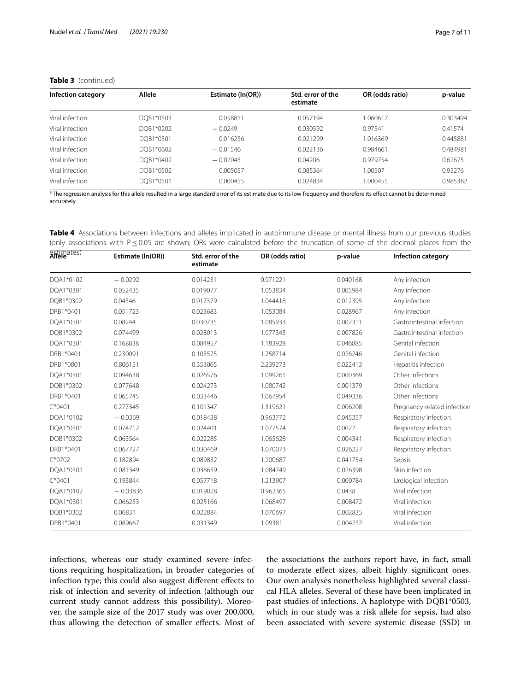| Infection category | Allele    | Estimate (In(OR)) | Std. error of the<br>estimate | OR (odds ratio) | p-value  |
|--------------------|-----------|-------------------|-------------------------------|-----------------|----------|
| Viral infection    | DOB1*0503 | 0.058851          | 0.057194                      | 1.060617        | 0.303494 |
| Viral infection    | DOB1*0202 | $-0.0249$         | 0.030592                      | 0.97541         | 0.41574  |
| Viral infection    | DOB1*0301 | 0.016236          | 0.021299                      | 1.016369        | 0.445881 |
| Viral infection    | DOB1*0602 | $-0.01546$        | 0.022136                      | 0.984661        | 0.484981 |
| Viral infection    | DOB1*0402 | $-0.02045$        | 0.04206                       | 0.979754        | 0.62675  |
| Viral infection    | DOB1*0502 | 0.005057          | 0.085364                      | 1.00507         | 0.95276  |
| Viral infection    | DOB1*0501 | 0.000455          | 0.024834                      | 1.000455        | 0.985382 |

# **Table 3** (continued)

<sup>a</sup> The regression analysis for this allele resulted in a large standard error of its estimate due to its low frequency and therefore its effect cannot be determined accurately

<span id="page-6-0"></span>**Table 4** Associations between infections and alleles implicated in autoimmune disease or mental illness from our previous studies (only associations with P≤0.05 are shown; ORs were calculated before the truncation of some of the decimal places from the

| estimates) | Estimate (In(OR)) | Std. error of the<br>estimate | OR (odds ratio) | p-value  | Infection category          |  |
|------------|-------------------|-------------------------------|-----------------|----------|-----------------------------|--|
| DQA1*0102  | $-0.0292$         | 0.014231                      | 0.971221        | 0.040168 | Any infection               |  |
| DQA1*0301  | 0.052435          | 0.019077                      | 1.053834        | 0.005984 | Any infection               |  |
| DQB1*0302  | 0.04346           | 0.017379                      | 1.044418        | 0.012395 | Any infection               |  |
| DRB1*0401  | 0.051723          | 0.023683                      | 1.053084        | 0.028967 | Any infection               |  |
| DQA1*0301  | 0.08244           | 0.030735                      | 1.085933        | 0.007311 | Gastrointestinal infection  |  |
| DQB1*0302  | 0.074499          | 0.028013                      | 1.077345        | 0.007826 | Gastrointestinal infection  |  |
| DQA1*0301  | 0.168838          | 0.084957                      | 1.183928        | 0.046885 | Genital infection           |  |
| DRB1*0401  | 0.230091          | 0.103525                      | 1.258714        | 0.026246 | Genital infection           |  |
| DRB1*0801  | 0.806151          | 0.353065                      | 2.239273        | 0.022413 | Hepatitis infection         |  |
| DQA1*0301  | 0.094638          | 0.026576                      | 1.099261        | 0.000369 | Other infections            |  |
| DQB1*0302  | 0.077648          | 0.024273                      | 1.080742        | 0.001379 | Other infections            |  |
| DRB1*0401  | 0.065745          | 0.033446                      | 1.067954        | 0.049336 | Other infections            |  |
| $C*0401$   | 0.277345          | 0.101347                      | 1.319621        | 0.006208 | Pregnancy-related infection |  |
| DQA1*0102  | $-0.0369$         | 0.018438                      | 0.963772        | 0.045357 | Respiratory infection       |  |
| DQA1*0301  | 0.074712          | 0.024401                      | 1.077574        | 0.0022   | Respiratory infection       |  |
| DQB1*0302  | 0.063564          | 0.022285                      | 1.065628        | 0.004341 | Respiratory infection       |  |
| DRB1*0401  | 0.067727          | 0.030469                      | 1.070073        | 0.026227 | Respiratory infection       |  |
| $C*0702$   | 0.182894          | 0.089832                      | 1.200687        | 0.041754 | Sepsis                      |  |
| DQA1*0301  | 0.081349          | 0.036639                      | 1.084749        | 0.026398 | Skin infection              |  |
| $C*0401$   | 0.193844          | 0.057718                      | 1.213907        | 0.000784 | Urological infection        |  |
| DQA1*0102  | $-0.03836$        | 0.019028                      | 0.962365        | 0.0438   | Viral infection             |  |
| DQA1*0301  | 0.066253          | 0.025166                      | 1.068497        | 0.008472 | Viral infection             |  |
| DQB1*0302  | 0.06831           | 0.022884                      | 1.070697        | 0.002835 | Viral infection             |  |
| DRB1*0401  | 0.089667          | 0.031349                      | 1.09381         | 0.004232 | Viral infection             |  |

infections, whereas our study examined severe infections requiring hospitalization, in broader categories of infection type; this could also suggest diferent efects to risk of infection and severity of infection (although our current study cannot address this possibility). Moreover, the sample size of the 2017 study was over 200,000, thus allowing the detection of smaller efects. Most of the associations the authors report have, in fact, small to moderate efect sizes, albeit highly signifcant ones. Our own analyses nonetheless highlighted several classical HLA alleles. Several of these have been implicated in past studies of infections. A haplotype with DQB1\*0503, which in our study was a risk allele for sepsis, had also been associated with severe systemic disease (SSD) in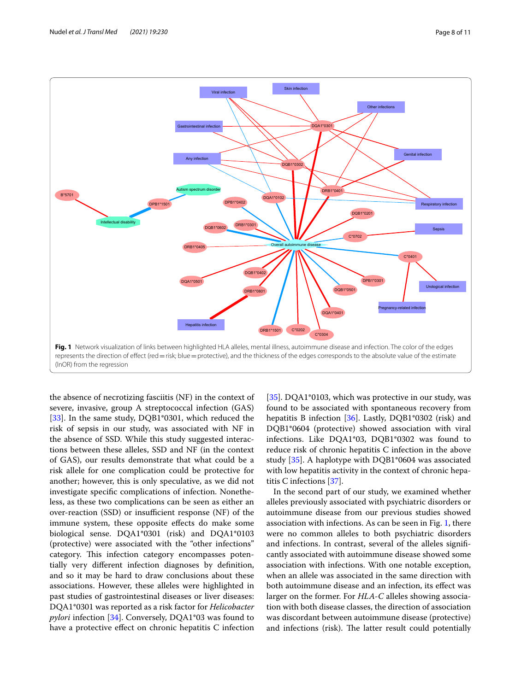

<span id="page-7-0"></span>the absence of necrotizing fasciitis (NF) in the context of severe, invasive, group A streptococcal infection (GAS) [[33\]](#page-10-2). In the same study, DQB1\*0301, which reduced the risk of sepsis in our study, was associated with NF in the absence of SSD. While this study suggested interactions between these alleles, SSD and NF (in the context of GAS), our results demonstrate that what could be a risk allele for one complication could be protective for another; however, this is only speculative, as we did not investigate specifc complications of infection. Nonetheless, as these two complications can be seen as either an over-reaction  $(SSD)$  or insufficient response  $(NF)$  of the immune system, these opposite efects do make some biological sense. DQA1\*0301 (risk) and DQA1\*0103 (protective) were associated with the "other infections" category. This infection category encompasses potentially very diferent infection diagnoses by defnition, and so it may be hard to draw conclusions about these associations. However, these alleles were highlighted in past studies of gastrointestinal diseases or liver diseases: DQA1\*0301 was reported as a risk factor for *Helicobacter pylori* infection [[34\]](#page-10-3). Conversely, DQA1\*03 was found to have a protective efect on chronic hepatitis C infection

[[35\]](#page-10-4). DQA1\*0103, which was protective in our study, was found to be associated with spontaneous recovery from hepatitis B infection [[36](#page-10-5)]. Lastly, DQB1\*0302 (risk) and DQB1\*0604 (protective) showed association with viral infections. Like DQA1\*03, DQB1\*0302 was found to reduce risk of chronic hepatitis C infection in the above study [[35\]](#page-10-4). A haplotype with DQB1\*0604 was associated with low hepatitis activity in the context of chronic hepatitis C infections [[37](#page-10-6)].

In the second part of our study, we examined whether alleles previously associated with psychiatric disorders or autoimmune disease from our previous studies showed association with infections. As can be seen in Fig. [1,](#page-7-0) there were no common alleles to both psychiatric disorders and infections. In contrast, several of the alleles signifcantly associated with autoimmune disease showed some association with infections. With one notable exception, when an allele was associated in the same direction with both autoimmune disease and an infection, its efect was larger on the former. For *HLA-C* alleles showing association with both disease classes, the direction of association was discordant between autoimmune disease (protective) and infections (risk). The latter result could potentially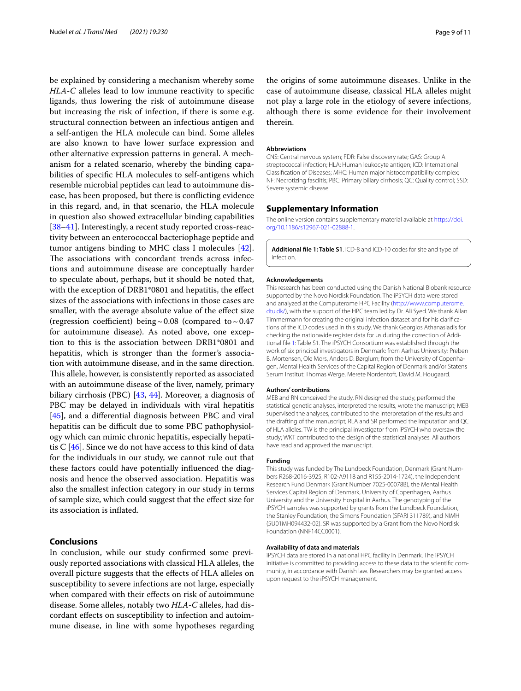be explained by considering a mechanism whereby some *HLA-C* alleles lead to low immune reactivity to specifc ligands, thus lowering the risk of autoimmune disease but increasing the risk of infection, if there is some e.g. structural connection between an infectious antigen and a self-antigen the HLA molecule can bind. Some alleles are also known to have lower surface expression and other alternative expression patterns in general. A mechanism for a related scenario, whereby the binding capabilities of specifc HLA molecules to self-antigens which resemble microbial peptides can lead to autoimmune disease, has been proposed, but there is conficting evidence in this regard, and, in that scenario, the HLA molecule in question also showed extracellular binding capabilities [[38–](#page-10-7)[41](#page-10-8)]. Interestingly, a recent study reported cross-reactivity between an enterococcal bacteriophage peptide and tumor antigens binding to MHC class I molecules [\[42](#page-10-9)]. The associations with concordant trends across infections and autoimmune disease are conceptually harder to speculate about, perhaps, but it should be noted that, with the exception of DRB1\*0801 and hepatitis, the efect sizes of the associations with infections in those cases are smaller, with the average absolute value of the efect size (regression coefficient) being ~ 0.08 (compared to ~0.47 for autoimmune disease). As noted above, one exception to this is the association between DRB1\*0801 and hepatitis, which is stronger than the former's association with autoimmune disease, and in the same direction. This allele, however, is consistently reported as associated with an autoimmune disease of the liver, namely, primary biliary cirrhosis (PBC) [[43](#page-10-10), [44](#page-10-11)]. Moreover, a diagnosis of PBC may be delayed in individuals with viral hepatitis [[45\]](#page-10-12), and a diferential diagnosis between PBC and viral hepatitis can be difficult due to some PBC pathophysiology which can mimic chronic hepatitis, especially hepatitis C [[46\]](#page-10-13). Since we do not have access to this kind of data for the individuals in our study, we cannot rule out that these factors could have potentially infuenced the diagnosis and hence the observed association. Hepatitis was also the smallest infection category in our study in terms of sample size, which could suggest that the efect size for its association is infated.

# **Conclusions**

In conclusion, while our study confrmed some previously reported associations with classical HLA alleles, the overall picture suggests that the efects of HLA alleles on susceptibility to severe infections are not large, especially when compared with their effects on risk of autoimmune disease. Some alleles, notably two *HLA-C* alleles, had discordant efects on susceptibility to infection and autoimmune disease, in line with some hypotheses regarding

the origins of some autoimmune diseases. Unlike in the case of autoimmune disease, classical HLA alleles might not play a large role in the etiology of severe infections, although there is some evidence for their involvement therein.

#### **Abbreviations**

CNS: Central nervous system; FDR: False discovery rate; GAS: Group A streptococcal infection; HLA: Human leukocyte antigen; ICD: International Classifcation of Diseases; MHC: Human major histocompatibility complex; NF: Necrotizing fasciitis; PBC: Primary biliary cirrhosis; QC: Quality control; SSD: Severe systemic disease.

#### **Supplementary Information**

The online version contains supplementary material available at [https://doi.](https://doi.org/10.1186/s12967-021-02888-1) [org/10.1186/s12967-021-02888-1](https://doi.org/10.1186/s12967-021-02888-1).

<span id="page-8-0"></span>**Additional fle 1: Table S1**. ICD-8 and ICD-10 codes for site and type of infection.

#### **Acknowledgements**

This research has been conducted using the Danish National Biobank resource supported by the Novo Nordisk Foundation. The iPSYCH data were stored and analyzed at the Computerome HPC Facility [\(http://www.computerome.](http://www.computerome.dtu.dk/) [dtu.dk/](http://www.computerome.dtu.dk/)), with the support of the HPC team led by Dr. Ali Syed. We thank Allan Timmermann for creating the original infection dataset and for his clarifcations of the ICD codes used in this study. We thank Georgios Athanasiadis for checking the nationwide register data for us during the correction of Additional fle [1](#page-8-0): Table S1. The iPSYCH Consortium was established through the work of six principal investigators in Denmark: from Aarhus University: Preben B. Mortensen, Ole Mors, Anders D. Børglum; from the University of Copenhagen, Mental Health Services of the Capital Region of Denmark and/or Statens Serum Institut: Thomas Werge, Merete Nordentoft, David M. Hougaard.

#### **Authors' contributions**

MEB and RN conceived the study. RN designed the study, performed the statistical genetic analyses, interpreted the results, wrote the manuscript; MEB supervised the analyses, contributed to the interpretation of the results and the drafting of the manuscript; RLA and SR performed the imputation and QC of HLA alleles. TW is the principal investigator from iPSYCH who oversaw the study; WKT contributed to the design of the statistical analyses. All authors have read and approved the manuscript.

#### **Funding**

This study was funded by The Lundbeck Foundation, Denmark (Grant Numbers R268-2016-3925, R102-A9118 and R155-2014-1724), the Independent Research Fund Denmark (Grant Number 7025-00078B), the Mental Health Services Capital Region of Denmark, University of Copenhagen, Aarhus University and the University Hospital in Aarhus. The genotyping of the iPSYCH samples was supported by grants from the Lundbeck Foundation, the Stanley Foundation, the Simons Foundation (SFARI 311789), and NIMH (5U01MH094432-02). SR was supported by a Grant from the Novo Nordisk Foundation (NNF14CC0001).

#### **Availability of data and materials**

iPSYCH data are stored in a national HPC facility in Denmark. The iPSYCH initiative is committed to providing access to these data to the scientifc community, in accordance with Danish law. Researchers may be granted access upon request to the iPSYCH management.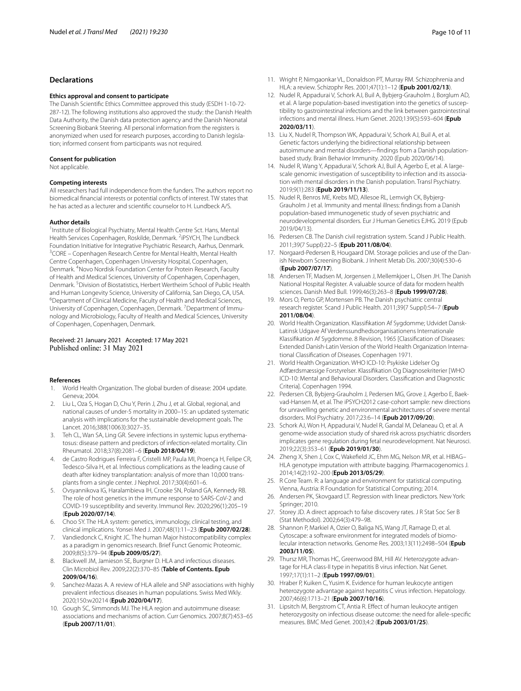# **Declarations**

#### **Ethics approval and consent to participate**

The Danish Scientifc Ethics Committee approved this study (ESDH 1-10-72- 287-12). The following institutions also approved the study: the Danish Health Data Authority, the Danish data protection agency and the Danish Neonatal Screening Biobank Steering. All personal information from the registers is anonymized when used for research purposes, according to Danish legislation; informed consent from participants was not required.

#### **Consent for publication**

Not applicable.

#### **Competing interests**

All researchers had full independence from the funders. The authors report no biomedical fnancial interests or potential conficts of interest. TW states that he has acted as a lecturer and scientifc counselor to H. Lundbeck A/S.

#### **Author details**

<sup>1</sup> Institute of Biological Psychiatry, Mental Health Centre Sct. Hans, Mental Health Services Copenhagen, Roskilde, Denmark. <sup>2</sup>iPSYCH, The Lundbeck Foundation Initiative for Integrative Psychiatric Research, Aarhus, Denmark. 3 <sup>3</sup> CORE – Copenhagen Research Centre for Mental Health, Mental Health Centre Copenhagen, Copenhagen University Hospital, Copenhagen, Denmark. <sup>4</sup> Novo Nordisk Foundation Center for Protein Research, Faculty of Health and Medical Sciences, University of Copenhagen, Copenhagen, Denmark.<sup>5</sup> Division of Biostatistics, Herbert Wertheim School of Public Health and Human Longevity Science, University of California, San Diego, CA, USA. Department of Clinical Medicine, Faculty of Health and Medical Sciences, University of Copenhagen, Copenhagen, Denmark. <sup>7</sup> Department of Immunology and Microbiology, Faculty of Health and Medical Sciences, University of Copenhagen, Copenhagen, Denmark.

#### Received: 21 January 2021 Accepted: 17 May 2021 Published online: 31 May 2021

#### **References**

- <span id="page-9-0"></span>1. World Health Organization. The global burden of disease: 2004 update. Geneva; 2004.
- <span id="page-9-1"></span>2. Liu L, Oza S, Hogan D, Chu Y, Perin J, Zhu J, et al. Global, regional, and national causes of under-5 mortality in 2000–15: an updated systematic analysis with implications for the sustainable development goals. The Lancet. 2016;388(10063):3027–35.
- <span id="page-9-2"></span>3. Teh CL, Wan SA, Ling GR. Severe infections in systemic lupus erythematosus: disease pattern and predictors of infection-related mortality. Clin Rheumatol. 2018;37(8):2081–6 (**Epub 2018/04/19**).
- <span id="page-9-3"></span>4. de Castro Rodrigues Ferreira F, Cristelli MP, Paula MI, Proença H, Felipe CR, Tedesco-Silva H, et al. Infectious complications as the leading cause of death after kidney transplantation: analysis of more than 10,000 transplants from a single center. J Nephrol. 2017;30(4):601–6.
- <span id="page-9-4"></span>5. Ovsyannikova IG, Haralambieva IH, Crooke SN, Poland GA, Kennedy RB. The role of host genetics in the immune response to SARS-CoV-2 and COVID-19 susceptibility and severity. Immunol Rev. 2020;296(1):205–19 (**Epub 2020/07/14**).
- <span id="page-9-5"></span>6. Choo SY. The HLA system: genetics, immunology, clinical testing, and clinical implications. Yonsei Med J. 2007;48(1):11–23 (**Epub 2007/02/28**).
- <span id="page-9-6"></span>7. Vandiedonck C, Knight JC. The human Major histocompatibility complex as a paradigm in genomics research. Brief Funct Genomic Proteomic. 2009;8(5):379–94 (**Epub 2009/05/27**).
- <span id="page-9-7"></span>8. Blackwell JM, Jamieson SE, Burgner D. HLA and infectious diseases. Clin Microbiol Rev. 2009;22(2):370–85 (**Table of Contents. Epub 2009/04/16**).
- <span id="page-9-8"></span>9. Sanchez-Mazas A. A review of HLA allele and SNP associations with highly prevalent infectious diseases in human populations. Swiss Med Wkly. 2020;150:w20214 (**Epub 2020/04/17**).
- <span id="page-9-9"></span>10. Gough SC, Simmonds MJ. The HLA region and autoimmune disease: associations and mechanisms of action. Curr Genomics. 2007;8(7):453–65 (**Epub 2007/11/01**).
- <span id="page-9-10"></span>11. Wright P, Nimgaonkar VL, Donaldson PT, Murray RM. Schizophrenia and HLA: a review. Schizophr Res. 2001;47(1):1–12 (**Epub 2001/02/13**).
- <span id="page-9-11"></span>12. Nudel R, Appadurai V, Schork AJ, Buil A, Bybjerg-Grauholm J, Borglum AD, et al. A large population-based investigation into the genetics of susceptibility to gastrointestinal infections and the link between gastrointestinal infections and mental illness. Hum Genet. 2020;139(5):593–604 (**Epub 2020/03/11**).
- <span id="page-9-14"></span>13. Liu X, Nudel R, Thompson WK, Appadurai V, Schork AJ, Buil A, et al. Genetic factors underlying the bidirectional relationship between autoimmune and mental disorders—fndings from a Danish populationbased study. Brain Behavior Immunity. 2020 (Epub 2020/06/14).
- <span id="page-9-12"></span>14. Nudel R, Wang Y, Appadurai V, Schork AJ, Buil A, Agerbo E, et al. A largescale genomic investigation of susceptibility to infection and its association with mental disorders in the Danish population. Transl Psychiatry. 2019;9(1):283 (**Epub 2019/11/13**).
- <span id="page-9-13"></span>15. Nudel R, Benros ME, Krebs MD, Allesoe RL, Lemvigh CK, Bybjerg-Grauholm J et al. Immunity and mental illness: fndings from a Danish population-based immunogenetic study of seven psychiatric and neurodevelopmental disorders. Eur J Human Genetics EJHG. 2019 (Epub 2019/04/13).
- <span id="page-9-15"></span>16. Pedersen CB. The Danish civil registration system. Scand J Public Health. 2011;39(7 Suppl):22–5 (**Epub 2011/08/04**).
- <span id="page-9-16"></span>17. Norgaard-Pedersen B, Hougaard DM. Storage policies and use of the Danish Newborn Screening Biobank. J Inherit Metab Dis. 2007;30(4):530–6 (**Epub 2007/07/17**).
- <span id="page-9-17"></span>18. Andersen TF, Madsen M, Jorgensen J, Mellemkjoer L, Olsen JH. The Danish National Hospital Register. A valuable source of data for modern health sciences. Danish Med Bull. 1999;46(3):263–8 (**Epub 1999/07/28**).
- <span id="page-9-18"></span>19. Mors O, Perto GP, Mortensen PB. The Danish psychiatric central research register. Scand J Public Health. 2011;39(7 Suppl):54–7 (**Epub 2011/08/04**).
- <span id="page-9-19"></span>20. World Health Organization. Klassifkation Af Sygdomme; Udvidet Dansk-Latinsk Udgave Af Verdenssundhedsorganisationens Internationale Klassifkation Af Sygdomme. 8 Revision, 1965 [Classifcation of Diseases: Extended Danish-Latin Version of the World Health Organization International Classifcation of Diseases. Copenhagen 1971.
- <span id="page-9-20"></span>21. World Health Organization. WHO ICD-10: Psykiske Lidelser Og Adfærdsmæssige Forstyrelser. Klassifkation Og Diagnosekriterier [WHO ICD-10: Mental and Behavioural Disorders. Classifcation and Diagnostic Criteria]. Copenhagen 1994.
- <span id="page-9-21"></span>22. Pedersen CB, Bybjerg-Grauholm J, Pedersen MG, Grove J, Agerbo E, Baekvad-Hansen M, et al. The iPSYCH2012 case-cohort sample: new directions for unravelling genetic and environmental architectures of severe mental disorders. Mol Psychiatry. 2017;23:6–14 (**Epub 2017/09/20**).
- <span id="page-9-22"></span>23. Schork AJ, Won H, Appadurai V, Nudel R, Gandal M, Delaneau O, et al. A genome-wide association study of shared risk across psychiatric disorders implicates gene regulation during fetal neurodevelopment. Nat Neurosci. 2019;22(3):353–61 (**Epub 2019/01/30**).
- <span id="page-9-23"></span>24. Zheng X, Shen J, Cox C, Wakefeld JC, Ehm MG, Nelson MR, et al. HIBAG– HLA genotype imputation with attribute bagging. Pharmacogenomics J. 2014;14(2):192–200 (**Epub 2013/05/29**).
- <span id="page-9-24"></span>25. R Core Team. R: a language and environment for statistical computing. Vienna, Austria: R Foundation for Statistical Computing; 2014.
- <span id="page-9-25"></span>26. Andersen PK, Skovgaard LT. Regression with linear predictors. New York: Springer; 2010.
- <span id="page-9-26"></span>27. Storey JD. A direct approach to false discovery rates. J R Stat Soc Ser B (Stat Methodol). 2002;64(3):479–98.
- <span id="page-9-27"></span>28. Shannon P, Markiel A, Ozier O, Baliga NS, Wang JT, Ramage D, et al. Cytoscape: a software environment for integrated models of biomolecular interaction networks. Genome Res. 2003;13(11):2498–504 (**Epub 2003/11/05**).
- <span id="page-9-28"></span>29. Thursz MR, Thomas HC, Greenwood BM, Hill AV. Heterozygote advantage for HLA class-II type in hepatitis B virus infection. Nat Genet. 1997;17(1):11–2 (**Epub 1997/09/01**).
- 30. Hraber P, Kuiken C, Yusim K. Evidence for human leukocyte antigen heterozygote advantage against hepatitis C virus infection. Hepatology. 2007;46(6):1713–21 (**Epub 2007/10/16**).
- <span id="page-9-29"></span>31. Lipsitch M, Bergstrom CT, Antia R. Efect of human leukocyte antigen heterozygosity on infectious disease outcome: the need for allele-specifc measures. BMC Med Genet. 2003;4:2 (**Epub 2003/01/25**).